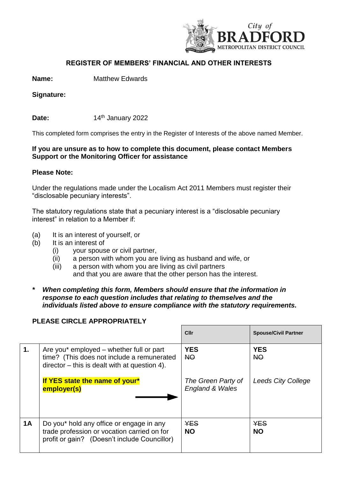

## **REGISTER OF MEMBERS' FINANCIAL AND OTHER INTERESTS**

**Name:** Matthew Edwards

**Signature:** 

**Date: 14<sup>th</sup> January 2022** 

This completed form comprises the entry in the Register of Interests of the above named Member.

## **If you are unsure as to how to complete this document, please contact Members Support or the Monitoring Officer for assistance**

## **Please Note:**

Under the regulations made under the Localism Act 2011 Members must register their "disclosable pecuniary interests".

The statutory regulations state that a pecuniary interest is a "disclosable pecuniary interest" in relation to a Member if:

- (a) It is an interest of yourself, or
- (b) It is an interest of
	- (i) your spouse or civil partner,
	- (ii) a person with whom you are living as husband and wife, or
	- (iii) a person with whom you are living as civil partners and that you are aware that the other person has the interest.
- *\* When completing this form, Members should ensure that the information in response to each question includes that relating to themselves and the individuals listed above to ensure compliance with the statutory requirements.*

## **PLEASE CIRCLE APPROPRIATELY**

|               |                                                                                                                                          | Cllr                                  | <b>Spouse/Civil Partner</b> |
|---------------|------------------------------------------------------------------------------------------------------------------------------------------|---------------------------------------|-----------------------------|
| $\mathbf 1$ . | Are you* employed – whether full or part<br>time? (This does not include a remunerated<br>$director - this is dealt with at question 4.$ | <b>YES</b><br><b>NO</b>               | <b>YES</b><br>NO            |
|               | If YES state the name of your*<br>employer(s)                                                                                            | The Green Party of<br>England & Wales | <b>Leeds City College</b>   |
| <b>1A</b>     | Do you* hold any office or engage in any<br>trade profession or vocation carried on for<br>profit or gain? (Doesn't include Councillor)  | <b>YES</b><br><b>NO</b>               | <b>YES</b><br><b>NO</b>     |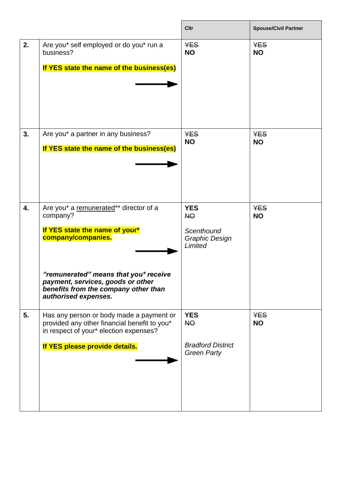|    |                                                                                                                                                                                                                                                          | <b>Cllr</b>                                                               | <b>Spouse/Civil Partner</b> |
|----|----------------------------------------------------------------------------------------------------------------------------------------------------------------------------------------------------------------------------------------------------------|---------------------------------------------------------------------------|-----------------------------|
| 2. | Are you* self employed or do you* run a<br>business?<br>If YES state the name of the business(es)                                                                                                                                                        | <b>YES</b><br><b>NO</b>                                                   | <b>YES</b><br><b>NO</b>     |
| 3. | Are you* a partner in any business?<br>If YES state the name of the business(es)                                                                                                                                                                         | <b>YES</b><br><b>NO</b>                                                   | <b>YES</b><br><b>NO</b>     |
| 4. | Are you* a remunerated** director of a<br>company?<br>If YES state the name of your*<br>company/companies.<br>"remunerated" means that you* receive<br>payment, services, goods or other<br>benefits from the company other than<br>authorised expenses. | <b>YES</b><br>NO<br>Scenthound<br><b>Graphic Design</b><br>Limited        | <b>YES</b><br><b>NO</b>     |
| 5. | Has any person or body made a payment or<br>provided any other financial benefit to you*<br>in respect of your* election expenses?<br>If YES please provide details.                                                                                     | <b>YES</b><br><b>NO</b><br><b>Bradford District</b><br><b>Green Party</b> | <b>YES</b><br><b>NO</b>     |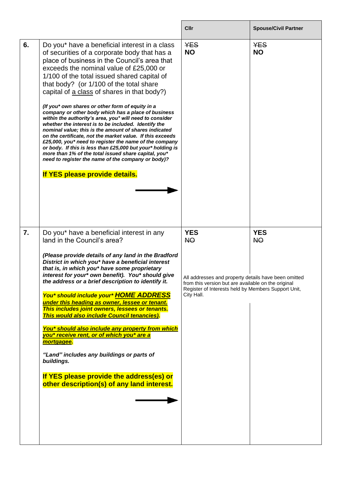|                  |                                                                                                                                                                                                                                                                                                                                                                                                                                                                                                                                                                                                                                                                                                                                                                                                                                                                                                                                                               | Cllr                                                                                                                                                                                                        | <b>Spouse/Civil Partner</b> |
|------------------|---------------------------------------------------------------------------------------------------------------------------------------------------------------------------------------------------------------------------------------------------------------------------------------------------------------------------------------------------------------------------------------------------------------------------------------------------------------------------------------------------------------------------------------------------------------------------------------------------------------------------------------------------------------------------------------------------------------------------------------------------------------------------------------------------------------------------------------------------------------------------------------------------------------------------------------------------------------|-------------------------------------------------------------------------------------------------------------------------------------------------------------------------------------------------------------|-----------------------------|
| 6.               | Do you* have a beneficial interest in a class<br>of securities of a corporate body that has a<br>place of business in the Council's area that<br>exceeds the nominal value of £25,000 or<br>1/100 of the total issued shared capital of<br>that body? (or 1/100 of the total share<br>capital of a class of shares in that body?)<br>(If you* own shares or other form of equity in a<br>company or other body which has a place of business<br>within the authority's area, you* will need to consider<br>whether the interest is to be included. Identify the<br>nominal value; this is the amount of shares indicated<br>on the certificate, not the market value. If this exceeds<br>£25,000, you* need to register the name of the company<br>or body. If this is less than £25,000 but your* holding is<br>more than 1% of the total issued share capital, you*<br>need to register the name of the company or body)?<br>If YES please provide details. | <b>YES</b><br><b>NO</b>                                                                                                                                                                                     | <b>YES</b><br><b>NO</b>     |
| $\overline{7}$ . | Do you* have a beneficial interest in any<br>land in the Council's area?<br>(Please provide details of any land in the Bradford<br>District in which you* have a beneficial interest<br>that is, in which you* have some proprietary<br>interest for your* own benefit). You* should give<br>the address or a brief description to identify it.<br>You* should include your* HOME ADDRESS<br>under this heading as owner, lessee or tenant.<br>This includes joint owners, lessees or tenants.<br>This would also include Council tenancies).<br>You* should also include any property from which<br>you* receive rent, or of which you* are a<br>mortgagee.<br>"Land" includes any buildings or parts of<br>buildings.<br>If YES please provide the address(es) or<br>other description(s) of any land interest.                                                                                                                                             | <b>YES</b><br><b>NO</b><br>All addresses and property details have been omitted<br>from this version but are available on the original<br>Register of Interests held by Members Support Unit,<br>City Hall. | <b>YES</b><br><b>NO</b>     |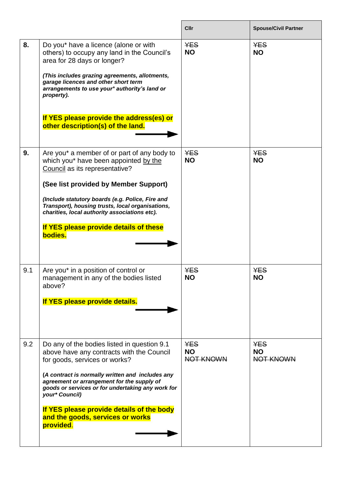|     |                                                                                                                                                                                                                                                                                                                                                                                                  | Cllr                                 | <b>Spouse/Civil Partner</b>          |
|-----|--------------------------------------------------------------------------------------------------------------------------------------------------------------------------------------------------------------------------------------------------------------------------------------------------------------------------------------------------------------------------------------------------|--------------------------------------|--------------------------------------|
| 8.  | Do you* have a licence (alone or with<br>others) to occupy any land in the Council's<br>area for 28 days or longer?<br>(This includes grazing agreements, allotments,<br>garage licences and other short term<br>arrangements to use your* authority's land or<br>property).<br>If YES please provide the address(es) or<br>other description(s) of the land.                                    | <b>YES</b><br><b>NO</b>              | <b>YES</b><br><b>NO</b>              |
| 9.  | Are you* a member of or part of any body to<br>which you* have been appointed by the<br>Council as its representative?<br>(See list provided by Member Support)<br>(Include statutory boards (e.g. Police, Fire and<br>Transport), housing trusts, local organisations,<br>charities, local authority associations etc).<br>If YES please provide details of these<br>bodies.                    | <b>YES</b><br><b>NO</b>              | <b>YES</b><br><b>NO</b>              |
| 9.1 | Are you* in a position of control or<br>management in any of the bodies listed<br>above?<br>If YES please provide details.                                                                                                                                                                                                                                                                       | <b>YES</b><br><b>NO</b>              | <b>YES</b><br><b>NO</b>              |
| 9.2 | Do any of the bodies listed in question 9.1<br>above have any contracts with the Council<br>for goods, services or works?<br>(A contract is normally written and includes any<br>agreement or arrangement for the supply of<br>goods or services or for undertaking any work for<br>your* Council)<br>If YES please provide details of the body<br>and the goods, services or works<br>provided. | <b>YES</b><br><b>NO</b><br>NOT KNOWN | <b>YES</b><br><b>NO</b><br>NOT KNOWN |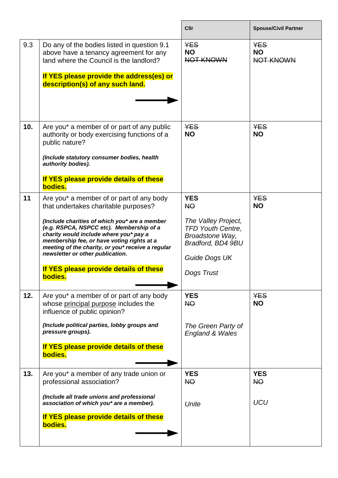|     |                                                                                                                                                                                                                                                                                                                                                                                                                     | Cllr                                                                                                                                              | <b>Spouse/Civil Partner</b>          |
|-----|---------------------------------------------------------------------------------------------------------------------------------------------------------------------------------------------------------------------------------------------------------------------------------------------------------------------------------------------------------------------------------------------------------------------|---------------------------------------------------------------------------------------------------------------------------------------------------|--------------------------------------|
| 9.3 | Do any of the bodies listed in question 9.1<br>above have a tenancy agreement for any<br>land where the Council is the landlord?<br>If YES please provide the address(es) or<br>description(s) of any such land.                                                                                                                                                                                                    | <b>YES</b><br><b>NO</b><br>NOT KNOWN                                                                                                              | <b>YES</b><br><b>NO</b><br>NOT KNOWN |
| 10. | Are you* a member of or part of any public<br>authority or body exercising functions of a<br>public nature?<br>(Include statutory consumer bodies, health<br>authority bodies).<br>If YES please provide details of these<br>bodies.                                                                                                                                                                                | <b>YES</b><br><b>NO</b>                                                                                                                           | <b>YES</b><br><b>NO</b>              |
| 11  | Are you* a member of or part of any body<br>that undertakes charitable purposes?<br>(Include charities of which you* are a member<br>(e.g. RSPCA, NSPCC etc). Membership of a<br>charity would include where you* pay a<br>membership fee, or have voting rights at a<br>meeting of the charity, or you* receive a regular<br>newsletter or other publication.<br>If YES please provide details of these<br>bodies. | <b>YES</b><br><b>NO</b><br>The Valley Project,<br><b>TFD Youth Centre,</b><br>Broadstone Way,<br>Bradford, BD4 9BU<br>Guide Dogs UK<br>Dogs Trust | <b>YES</b><br><b>NO</b>              |
| 12. | Are you* a member of or part of any body<br>whose principal purpose includes the<br>influence of public opinion?<br>(Include political parties, lobby groups and<br>pressure groups).<br>If YES please provide details of these<br>bodies.                                                                                                                                                                          | <b>YES</b><br><b>NO</b><br>The Green Party of<br><b>England &amp; Wales</b>                                                                       | <b>YES</b><br><b>NO</b>              |
| 13. | Are you* a member of any trade union or<br>professional association?<br>(Include all trade unions and professional<br>association of which you* are a member).<br>If YES please provide details of these<br>bodies.                                                                                                                                                                                                 | <b>YES</b><br>NO<br>Unite                                                                                                                         | <b>YES</b><br>NO<br><b>UCU</b>       |

 $\overline{\phantom{a}}$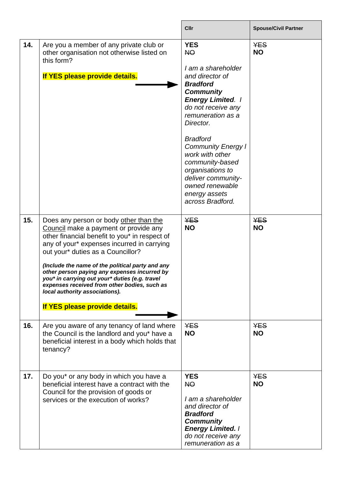|     |                                                                                                                                                                                                                                                                                                                                                                                                                                                                                               | Cllr                                                                                                                                                                                                                                                                                                                                                                                | <b>Spouse/Civil Partner</b> |
|-----|-----------------------------------------------------------------------------------------------------------------------------------------------------------------------------------------------------------------------------------------------------------------------------------------------------------------------------------------------------------------------------------------------------------------------------------------------------------------------------------------------|-------------------------------------------------------------------------------------------------------------------------------------------------------------------------------------------------------------------------------------------------------------------------------------------------------------------------------------------------------------------------------------|-----------------------------|
| 14. | Are you a member of any private club or<br>other organisation not otherwise listed on<br>this form?<br>If YES please provide details.                                                                                                                                                                                                                                                                                                                                                         | <b>YES</b><br><b>NO</b><br>I am a shareholder<br>and director of<br><b>Bradford</b><br><b>Community</b><br><b>Energy Limited. /</b><br>do not receive any<br>remuneration as a<br>Director.<br><b>Bradford</b><br><b>Community Energy I</b><br>work with other<br>community-based<br>organisations to<br>deliver community-<br>owned renewable<br>energy assets<br>across Bradford. | <b>YES</b><br><b>NO</b>     |
| 15. | Does any person or body other than the<br>Council make a payment or provide any<br>other financial benefit to you* in respect of<br>any of your* expenses incurred in carrying<br>out your* duties as a Councillor?<br>(Include the name of the political party and any<br>other person paying any expenses incurred by<br>you* in carrying out your* duties (e.g. travel<br>expenses received from other bodies, such as<br>local authority associations).<br>If YES please provide details. | <b>YES</b><br><b>NO</b>                                                                                                                                                                                                                                                                                                                                                             | <b>YES</b><br><b>NO</b>     |
| 16. | Are you aware of any tenancy of land where<br>the Council is the landlord and you* have a<br>beneficial interest in a body which holds that<br>tenancy?                                                                                                                                                                                                                                                                                                                                       | <b>YES</b><br><b>NO</b>                                                                                                                                                                                                                                                                                                                                                             | <b>YES</b><br><b>NO</b>     |
| 17. | Do you* or any body in which you have a<br>beneficial interest have a contract with the<br>Council for the provision of goods or<br>services or the execution of works?                                                                                                                                                                                                                                                                                                                       | <b>YES</b><br><b>NO</b><br>I am a shareholder<br>and director of<br><b>Bradford</b><br><b>Community</b><br><b>Energy Limited.  </b><br>do not receive any<br>remuneration as a                                                                                                                                                                                                      | <b>YES</b><br><b>NO</b>     |